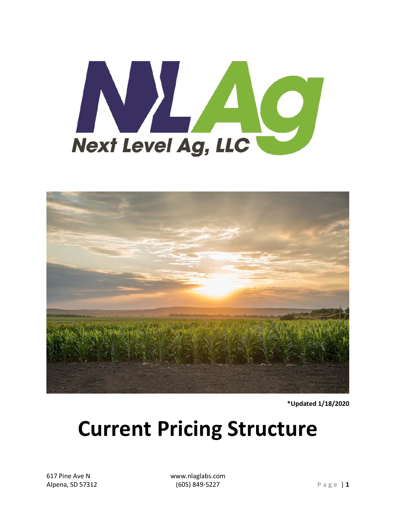



\*Updated 1/18/2020

# **Current Pricing Structure**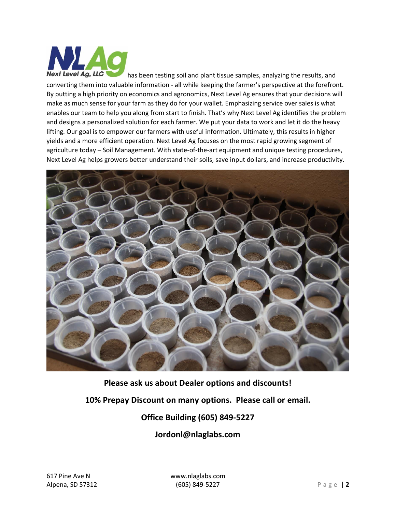

has been testing soil and plant tissue samples, analyzing the results, and converting them into valuable information - all while keeping the farmer's perspective at the forefront. By putting a high priority on economics and agronomics, Next Level Ag ensures that your decisions will make as much sense for your farm as they do for your wallet. Emphasizing service over sales is what enables our team to help you along from start to finish. That's why Next Level Ag identifies the problem and designs a personalized solution for each farmer. We put your data to work and let it do the heavy lifting. Our goal is to empower our farmers with useful information. Ultimately, this results in higher yields and a more efficient operation. Next Level Ag focuses on the most rapid growing segment of agriculture today – Soil Management. With state-of-the-art equipment and unique testing procedures, Next Level Ag helps growers better understand their soils, save input dollars, and increase productivity.



**Please ask us about Dealer options and discounts!**

**10% Prepay Discount on many options. Please call or email.**

#### **Office Building (605) 849-5227**

**Jordonl@nlaglabs.com**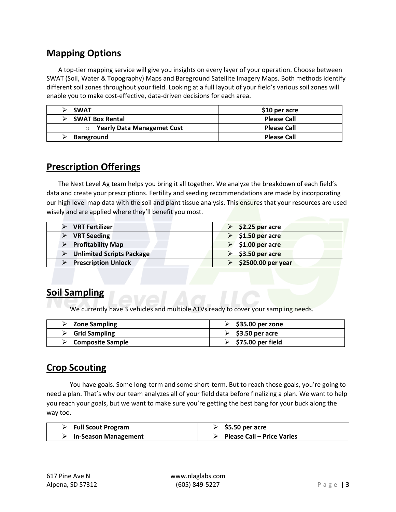#### **Mapping Options**

A top-tier mapping service will give you insights on every layer of your operation. Choose between SWAT (Soil, Water & Topography) Maps and Bareground Satellite Imagery Maps. Both methods identify different soil zones throughout your field. Looking at a full layout of your field's various soil zones will enable you to make cost-effective, data-driven decisions for each area.

| <b>SWAT</b>                       | \$10 per acre      |
|-----------------------------------|--------------------|
| <b>SWAT Box Rental</b>            | <b>Please Call</b> |
| <b>Yearly Data Managemet Cost</b> | <b>Please Call</b> |
| Bareground                        | <b>Please Call</b> |

#### **Prescription Offerings**

The Next Level Ag team helps you bring it all together. We analyze the breakdown of each field's data and create your prescriptions. Fertility and seeding recommendations are made by incorporating our high level map data with the soil and plant tissue analysis. This ensures that your resources are used wisely and are applied where they'll benefit you most.

| <b>VRT Fertilizer</b>            | $$2.25$ per acre                 |
|----------------------------------|----------------------------------|
| <b>VRT Seeding</b>               | $\triangleright$ \$1.50 per acre |
| <b>Profitability Map</b>         | $\triangleright$ \$1.00 per acre |
| <b>Unlimited Scripts Package</b> | $$3.50$ per acre                 |
| <b>Prescription Unlock</b>       | \$2500.00 per year               |

#### **Soil Sampling**

We currently have 3 vehicles and multiple ATVs ready to cover your sampling needs.

| <b>Zone Sampling</b>              | $\triangleright$ \$35.00 per zone  |
|-----------------------------------|------------------------------------|
| $\triangleright$ Grid Sampling    | $\ge$ \$3.50 per acre              |
| $\triangleright$ Composite Sample | $\triangleright$ \$75.00 per field |

#### **Crop Scouting**

You have goals. Some long-term and some short-term. But to reach those goals, you're going to need a plan. That's why our team analyzes all of your field data before finalizing a plan. We want to help you reach your goals, but we want to make sure you're getting the best bang for your buck along the way too.

| <b>Full Scout Program</b>   | $\ge$ \$5.50 per acre             |
|-----------------------------|-----------------------------------|
| <b>In-Season Management</b> | <b>Please Call – Price Varies</b> |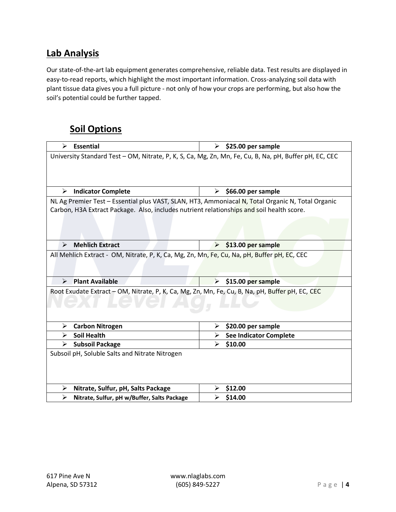#### **Lab Analysis**

Our state-of-the-art lab equipment generates comprehensive, reliable data. Test results are displayed in easy-to-read reports, which highlight the most important information. Cross-analyzing soil data with plant tissue data gives you a full picture - not only of how your crops are performing, but also how the soil's potential could be further tapped.

#### **Soil Options**

| <b>Essential</b><br>↘                                                                                  | \$25.00 per sample<br>⋗                                                                           |  |
|--------------------------------------------------------------------------------------------------------|---------------------------------------------------------------------------------------------------|--|
| University Standard Test - OM, Nitrate, P, K, S, Ca, Mg, Zn, Mn, Fe, Cu, B, Na, pH, Buffer pH, EC, CEC |                                                                                                   |  |
|                                                                                                        |                                                                                                   |  |
|                                                                                                        |                                                                                                   |  |
| ⋗<br><b>Indicator Complete</b>                                                                         | ➤<br>\$66.00 per sample                                                                           |  |
|                                                                                                        | NL Ag Premier Test - Essential plus VAST, SLAN, HT3, Ammoniacal N, Total Organic N, Total Organic |  |
| Carbon, H3A Extract Package. Also, includes nutrient relationships and soil health score.              |                                                                                                   |  |
|                                                                                                        |                                                                                                   |  |
|                                                                                                        |                                                                                                   |  |
| <b>Mehlich Extract</b><br>$\blacktriangleright$                                                        | $\triangleright$ \$13.00 per sample                                                               |  |
| All Mehlich Extract - OM, Nitrate, P, K, Ca, Mg, Zn, Mn, Fe, Cu, Na, pH, Buffer pH, EC, CEC            |                                                                                                   |  |
|                                                                                                        |                                                                                                   |  |
|                                                                                                        |                                                                                                   |  |
| <b>Plant Available</b><br>$\blacktriangleright$                                                        | \$15.00 per sample<br>$\blacktriangleright$                                                       |  |
| Root Exudate Extract - OM, Nitrate, P, K, Ca, Mg, Zn, Mn, Fe, Cu, B, Na, pH, Buffer pH, EC, CEC        |                                                                                                   |  |
|                                                                                                        |                                                                                                   |  |
|                                                                                                        |                                                                                                   |  |
| <b>Carbon Nitrogen</b><br>➤                                                                            | \$20.00 per sample<br>➤                                                                           |  |
| <b>Soil Health</b><br>➤                                                                                | <b>See Indicator Complete</b><br>≻                                                                |  |
| ➤<br><b>Subsoil Package</b>                                                                            | $\blacktriangleright$<br>\$10.00                                                                  |  |
| Subsoil pH, Soluble Salts and Nitrate Nitrogen                                                         |                                                                                                   |  |
|                                                                                                        |                                                                                                   |  |
|                                                                                                        |                                                                                                   |  |
| ➤<br>Nitrate, Sulfur, pH, Salts Package                                                                | \$12.00                                                                                           |  |
| ➤<br>Nitrate, Sulfur, pH w/Buffer, Salts Package                                                       | \$14.00                                                                                           |  |
|                                                                                                        |                                                                                                   |  |